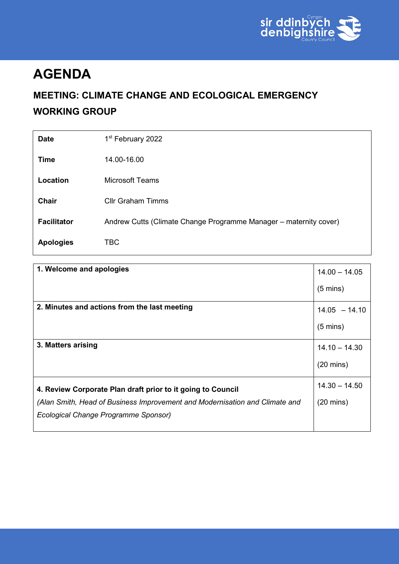

## **AGENDA**

## **MEETING: CLIMATE CHANGE AND ECOLOGICAL EMERGENCY WORKING GROUP**

| <b>Date</b>        | 1 <sup>st</sup> February 2022                                     |
|--------------------|-------------------------------------------------------------------|
| Time               | 14.00-16.00                                                       |
| Location           | <b>Microsoft Teams</b>                                            |
| <b>Chair</b>       | <b>Cllr Graham Timms</b>                                          |
| <b>Facilitator</b> | Andrew Cutts (Climate Change Programme Manager – maternity cover) |
| <b>Apologies</b>   | TBC                                                               |

| $14.00 - 14.05$     |
|---------------------|
| $(5 \text{ mins})$  |
| $14.05 - 14.10$     |
| $(5 \text{ mins})$  |
| $14.10 - 14.30$     |
| $(20 \text{ mins})$ |
| $14.30 - 14.50$     |
| $(20 \text{ mins})$ |
|                     |
|                     |